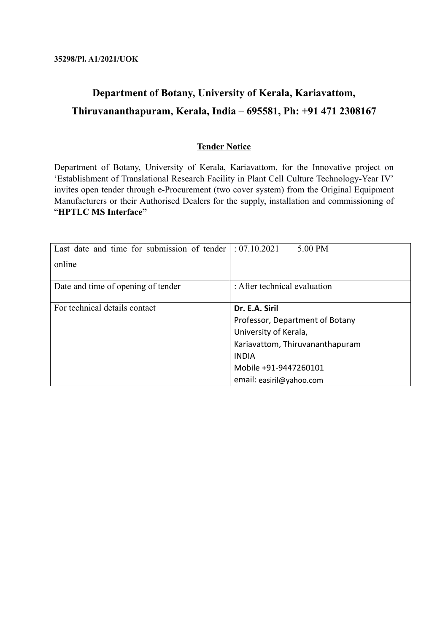# **Department of Botany, University of Kerala, Kariavattom, Thiruvananthapuram, Kerala, India – 695581, Ph: +91 471 2308167**

## **Tender Notice**

Department of Botany, University of Kerala, Kariavattom, for the Innovative project on 'Establishment of Translational Research Facility in Plant Cell Culture Technology-Year IV' invites open tender through e-Procurement (two cover system) from the Original Equipment Manufacturers or their Authorised Dealers for the supply, installation and commissioning of "**HPTLC MS Interface"**

| Last date and time for submission of tender | : 07.10.2021<br>5.00 PM         |
|---------------------------------------------|---------------------------------|
| online                                      |                                 |
| Date and time of opening of tender          | : After technical evaluation    |
| For technical details contact               | Dr. E.A. Siril                  |
|                                             | Professor, Department of Botany |
|                                             | University of Kerala,           |
|                                             | Kariavattom, Thiruvananthapuram |
|                                             | <b>INDIA</b>                    |
|                                             | Mobile +91-9447260101           |
|                                             | email: easiril@yahoo.com        |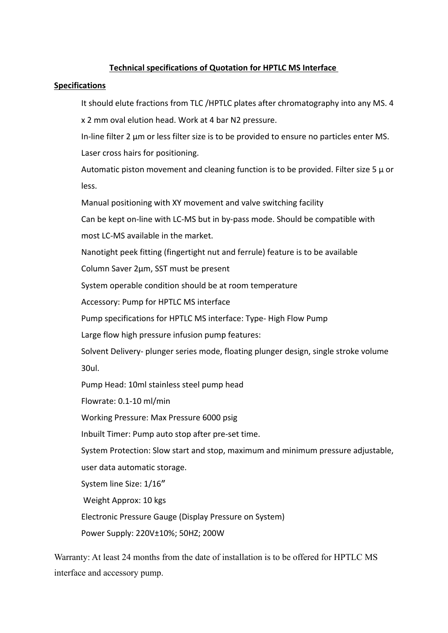## **Technical specifications of Quotation for HPTLC MS Interface**

### **Specifications**

It should elute fractions from TLC /HPTLC plates after chromatography into any MS. 4

x 2 mm oval elution head. Work at 4 bar N2 pressure.

In-line filter 2 µm or less filter size is to be provided to ensure no particles enter MS. Laser cross hairs for positioning.

Automatic piston movement and cleaning function is to be provided. Filter size 5  $\mu$  or less.

Manual positioning with XY movement and valve switching facility

Can be kept on-line with LC-MS but in by-pass mode. Should be compatible with

most LC-MS available in the market.

Nanotight peek fitting (fingertight nut and ferrule) feature is to be available

Column Saver 2μm, SST must be present

System operable condition should be at room temperature

Accessory: Pump for HPTLC MS interface

Pump specifications for HPTLC MS interface: Type- High Flow Pump

Large flow high pressure infusion pump features:

Solvent Delivery- plunger series mode, floating plunger design, single stroke volume 30ul.

Pump Head: 10ml stainless steel pump head

Flowrate: 0.1-10 ml/min

Working Pressure: Max Pressure 6000 psig

Inbuilt Timer: Pump auto stop after pre-set time.

System Protection: Slow start and stop, maximum and minimum pressure adjustable, user data automatic storage.

System line Size: 1/16〞

Weight Approx: 10 kgs

Electronic Pressure Gauge (Display Pressure on System)

Power Supply: 220V±10%; 50HZ; 200W

Warranty: At least 24 months from the date of installation is to be offered for HPTLC MS interface and accessory pump.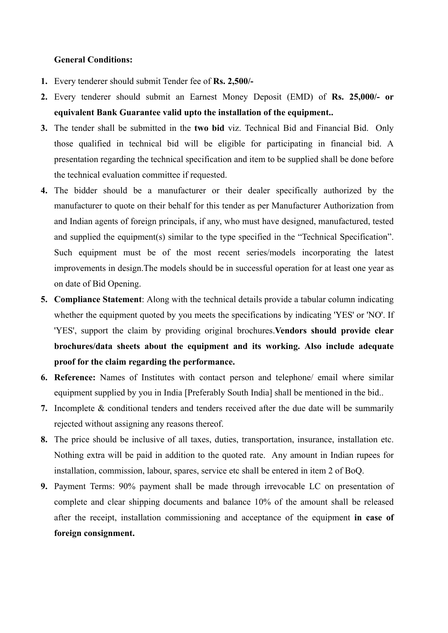### **General Conditions:**

- **1.** Every tenderer should submit Tender fee of **Rs. 2,500/-**
- **2.** Every tenderer should submit an Earnest Money Deposit (EMD) of **Rs. 25,000/- or equivalent Bank Guarantee valid upto the installation of the equipment..**
- **3.** The tender shall be submitted in the **two bid** viz. Technical Bid and Financial Bid. Only those qualified in technical bid will be eligible for participating in financial bid. A presentation regarding the technical specification and item to be supplied shall be done before the technical evaluation committee if requested.
- **4.** The bidder should be a manufacturer or their dealer specifically authorized by the manufacturer to quote on their behalf for this tender as per Manufacturer Authorization from and Indian agents of foreign principals, if any, who must have designed, manufactured, tested and supplied the equipment(s) similar to the type specified in the "Technical Specification". Such equipment must be of the most recent series/models incorporating the latest improvements in design.The models should be in successful operation for at least one year as on date of Bid Opening.
- **5. Compliance Statement**: Along with the technical details provide a tabular column indicating whether the equipment quoted by you meets the specifications by indicating 'YES' or 'NO'. If 'YES', support the claim by providing original brochures.**Vendors should provide clear brochures/data sheets about the equipment and its working. Also include adequate proof for the claim regarding the performance.**
- **6. Reference:** Names of Institutes with contact person and telephone/ email where similar equipment supplied by you in India [Preferably South India] shall be mentioned in the bid..
- **7.** Incomplete & conditional tenders and tenders received after the due date will be summarily rejected without assigning any reasons thereof.
- **8.** The price should be inclusive of all taxes, duties, transportation, insurance, installation etc. Nothing extra will be paid in addition to the quoted rate. Any amount in Indian rupees for installation, commission, labour, spares, service etc shall be entered in item 2 of BoQ.
- **9.** Payment Terms: 90% payment shall be made through irrevocable LC on presentation of complete and clear shipping documents and balance 10% of the amount shall be released after the receipt, installation commissioning and acceptance of the equipment **in case of foreign consignment.**